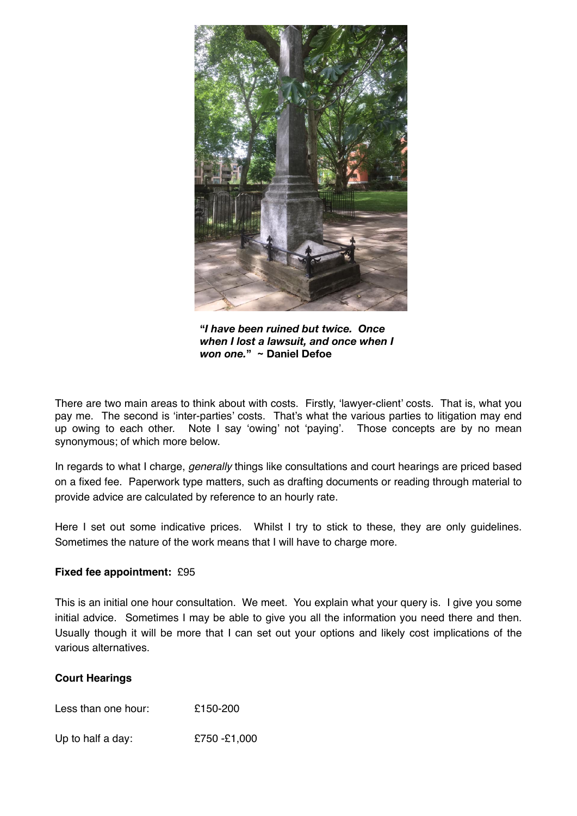

**"***I have been ruined but twice. Once when I lost a lawsuit, and once when I won one.***" ~ Daniel Defoe**

There are two main areas to think about with costs. Firstly, 'lawyer-client' costs. That is, what you pay me. The second is 'inter-parties' costs. That's what the various parties to litigation may end up owing to each other. Note I say 'owing' not 'paying'. Those concepts are by no mean synonymous; of which more below.

In regards to what I charge, *generally* things like consultations and court hearings are priced based on a fixed fee. Paperwork type matters, such as drafting documents or reading through material to provide advice are calculated by reference to an hourly rate.

Here I set out some indicative prices. Whilst I try to stick to these, they are only guidelines. Sometimes the nature of the work means that I will have to charge more.

## **Fixed fee appointment:** £95

This is an initial one hour consultation. We meet. You explain what your query is. I give you some initial advice. Sometimes I may be able to give you all the information you need there and then. Usually though it will be more that I can set out your options and likely cost implications of the various alternatives.

## **Court Hearings**

Less than one hour: £150-200

Up to half a day:  $£750 - £1,000$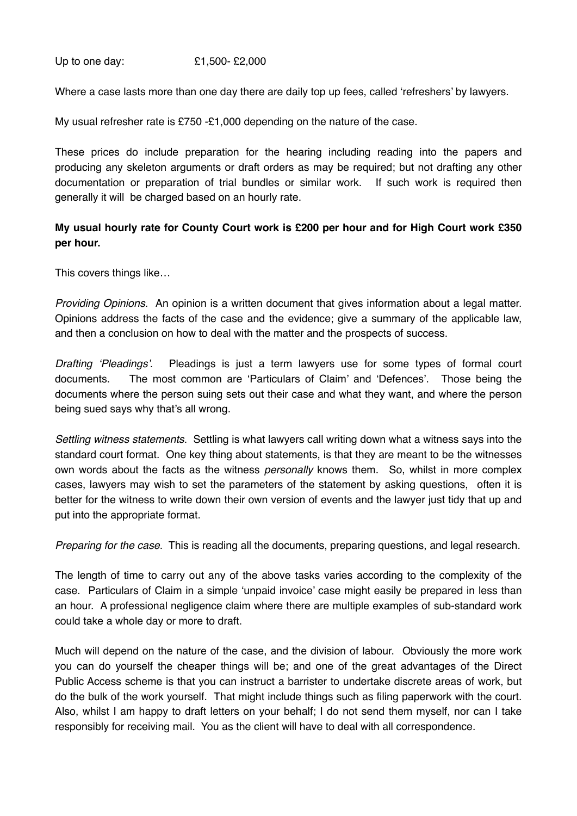Up to one day: £1,500- £2,000

Where a case lasts more than one day there are daily top up fees, called 'refreshers' by lawyers.

My usual refresher rate is £750 -£1,000 depending on the nature of the case.

These prices do include preparation for the hearing including reading into the papers and producing any skeleton arguments or draft orders as may be required; but not drafting any other documentation or preparation of trial bundles or similar work. If such work is required then generally it will be charged based on an hourly rate.

# **My usual hourly rate for County Court work is £200 per hour and for High Court work £350 per hour.**

This covers things like…

*Providing Opinions.* An opinion is a written document that gives information about a legal matter. Opinions address the facts of the case and the evidence; give a summary of the applicable law, and then a conclusion on how to deal with the matter and the prospects of success.

*Drafting 'Pleadings'*. Pleadings is just a term lawyers use for some types of formal court documents. The most common are 'Particulars of Claim' and 'Defences'. Those being the documents where the person suing sets out their case and what they want, and where the person being sued says why that's all wrong.

*Settling witness statements*. Settling is what lawyers call writing down what a witness says into the standard court format. One key thing about statements, is that they are meant to be the witnesses own words about the facts as the witness *personally* knows them. So, whilst in more complex cases, lawyers may wish to set the parameters of the statement by asking questions, often it is better for the witness to write down their own version of events and the lawyer just tidy that up and put into the appropriate format.

*Preparing for the case*. This is reading all the documents, preparing questions, and legal research.

The length of time to carry out any of the above tasks varies according to the complexity of the case. Particulars of Claim in a simple 'unpaid invoice' case might easily be prepared in less than an hour. A professional negligence claim where there are multiple examples of sub-standard work could take a whole day or more to draft.

Much will depend on the nature of the case, and the division of labour. Obviously the more work you can do yourself the cheaper things will be; and one of the great advantages of the Direct Public Access scheme is that you can instruct a barrister to undertake discrete areas of work, but do the bulk of the work yourself. That might include things such as filing paperwork with the court. Also, whilst I am happy to draft letters on your behalf; I do not send them myself, nor can I take responsibly for receiving mail. You as the client will have to deal with all correspondence.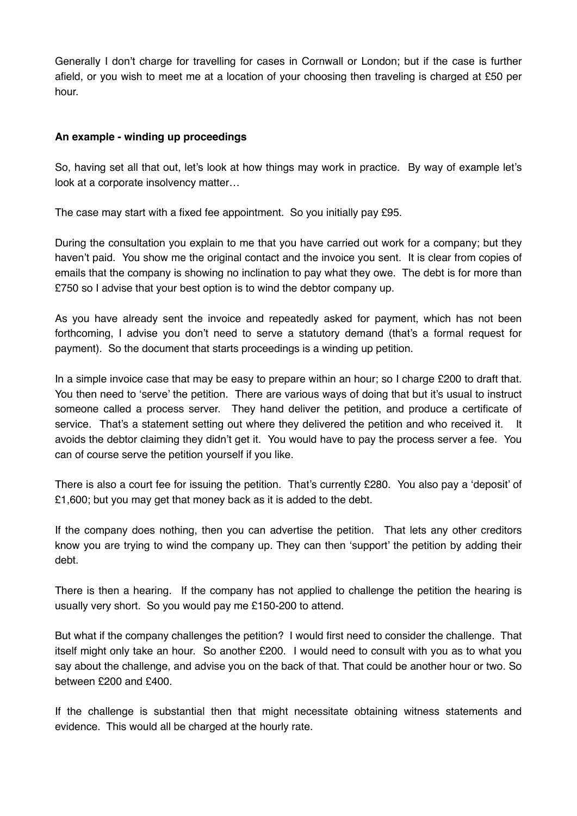Generally I don't charge for travelling for cases in Cornwall or London; but if the case is further afield, or you wish to meet me at a location of your choosing then traveling is charged at £50 per hour.

# **An example - winding up proceedings**

So, having set all that out, let's look at how things may work in practice. By way of example let's look at a corporate insolvency matter…

The case may start with a fixed fee appointment. So you initially pay £95.

During the consultation you explain to me that you have carried out work for a company; but they haven't paid. You show me the original contact and the invoice you sent. It is clear from copies of emails that the company is showing no inclination to pay what they owe. The debt is for more than £750 so I advise that your best option is to wind the debtor company up.

As you have already sent the invoice and repeatedly asked for payment, which has not been forthcoming, I advise you don't need to serve a statutory demand (that's a formal request for payment). So the document that starts proceedings is a winding up petition.

In a simple invoice case that may be easy to prepare within an hour; so I charge £200 to draft that. You then need to 'serve' the petition. There are various ways of doing that but it's usual to instruct someone called a process server. They hand deliver the petition, and produce a certificate of service. That's a statement setting out where they delivered the petition and who received it. It avoids the debtor claiming they didn't get it. You would have to pay the process server a fee. You can of course serve the petition yourself if you like.

There is also a court fee for issuing the petition. That's currently £280. You also pay a 'deposit' of £1,600; but you may get that money back as it is added to the debt.

If the company does nothing, then you can advertise the petition. That lets any other creditors know you are trying to wind the company up. They can then 'support' the petition by adding their debt.

There is then a hearing. If the company has not applied to challenge the petition the hearing is usually very short. So you would pay me £150-200 to attend.

But what if the company challenges the petition? I would first need to consider the challenge. That itself might only take an hour. So another £200. I would need to consult with you as to what you say about the challenge, and advise you on the back of that. That could be another hour or two. So between £200 and £400.

If the challenge is substantial then that might necessitate obtaining witness statements and evidence. This would all be charged at the hourly rate.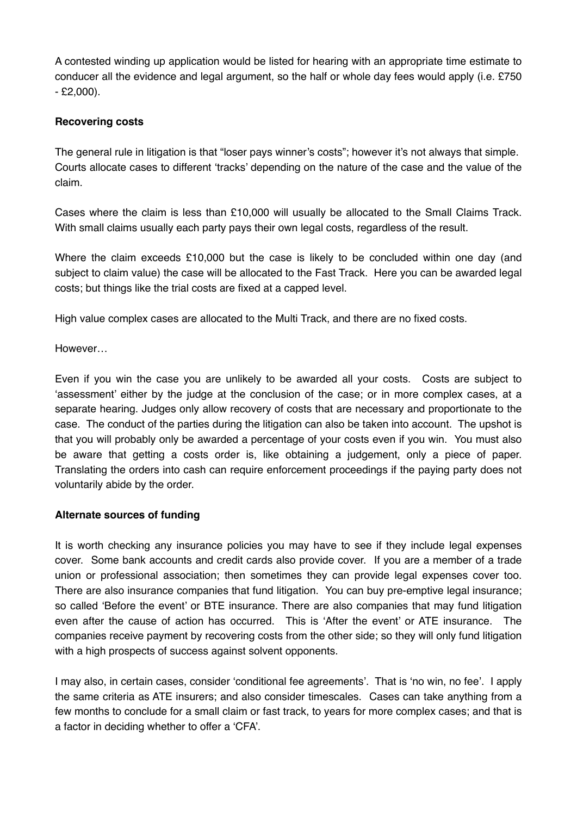A contested winding up application would be listed for hearing with an appropriate time estimate to conducer all the evidence and legal argument, so the half or whole day fees would apply (i.e. £750 - £2,000).

# **Recovering costs**

The general rule in litigation is that "loser pays winner's costs"; however it's not always that simple. Courts allocate cases to different 'tracks' depending on the nature of the case and the value of the claim.

Cases where the claim is less than £10,000 will usually be allocated to the Small Claims Track. With small claims usually each party pays their own legal costs, regardless of the result.

Where the claim exceeds £10,000 but the case is likely to be concluded within one day (and subject to claim value) the case will be allocated to the Fast Track. Here you can be awarded legal costs; but things like the trial costs are fixed at a capped level.

High value complex cases are allocated to the Multi Track, and there are no fixed costs.

However…

Even if you win the case you are unlikely to be awarded all your costs. Costs are subject to 'assessment' either by the judge at the conclusion of the case; or in more complex cases, at a separate hearing. Judges only allow recovery of costs that are necessary and proportionate to the case. The conduct of the parties during the litigation can also be taken into account. The upshot is that you will probably only be awarded a percentage of your costs even if you win. You must also be aware that getting a costs order is, like obtaining a judgement, only a piece of paper. Translating the orders into cash can require enforcement proceedings if the paying party does not voluntarily abide by the order.

## **Alternate sources of funding**

It is worth checking any insurance policies you may have to see if they include legal expenses cover. Some bank accounts and credit cards also provide cover. If you are a member of a trade union or professional association; then sometimes they can provide legal expenses cover too. There are also insurance companies that fund litigation. You can buy pre-emptive legal insurance; so called 'Before the event' or BTE insurance. There are also companies that may fund litigation even after the cause of action has occurred. This is 'After the event' or ATE insurance. The companies receive payment by recovering costs from the other side; so they will only fund litigation with a high prospects of success against solvent opponents.

I may also, in certain cases, consider 'conditional fee agreements'. That is 'no win, no fee'. I apply the same criteria as ATE insurers; and also consider timescales. Cases can take anything from a few months to conclude for a small claim or fast track, to years for more complex cases; and that is a factor in deciding whether to offer a 'CFA'.